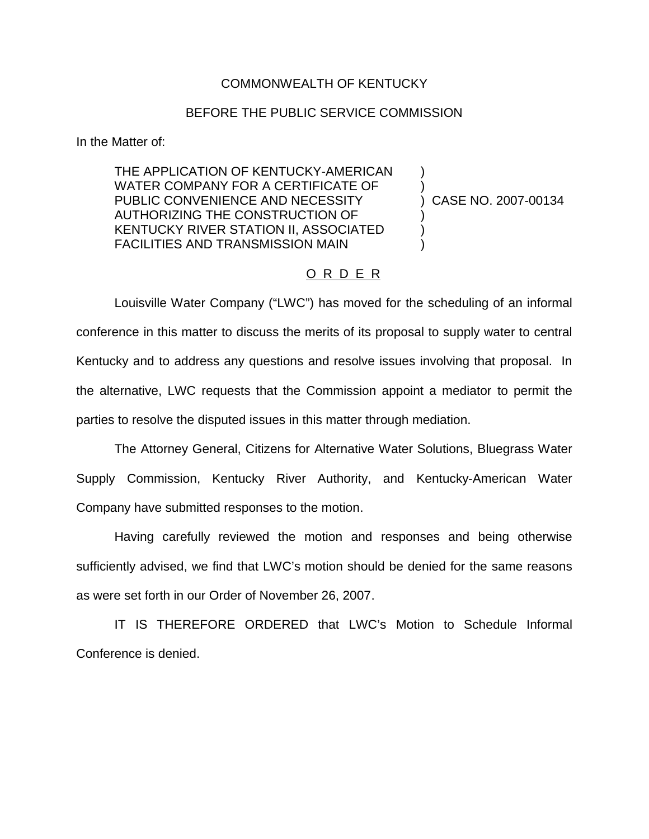## COMMONWEALTH OF KENTUCKY

## BEFORE THE PUBLIC SERVICE COMMISSION

In the Matter of:

THE APPLICATION OF KENTUCKY-AMERICAN WATER COMPANY FOR A CERTIFICATE OF PUBLIC CONVENIENCE AND NECESSITY AUTHORIZING THE CONSTRUCTION OF KENTUCKY RIVER STATION II, ASSOCIATED FACILITIES AND TRANSMISSION MAIN

) CASE NO. 2007-00134

) )

) ) )

## O R D E R

Louisville Water Company ("LWC") has moved for the scheduling of an informal conference in this matter to discuss the merits of its proposal to supply water to central Kentucky and to address any questions and resolve issues involving that proposal. In the alternative, LWC requests that the Commission appoint a mediator to permit the parties to resolve the disputed issues in this matter through mediation.

The Attorney General, Citizens for Alternative Water Solutions, Bluegrass Water Supply Commission, Kentucky River Authority, and Kentucky-American Water Company have submitted responses to the motion.

Having carefully reviewed the motion and responses and being otherwise sufficiently advised, we find that LWC's motion should be denied for the same reasons as were set forth in our Order of November 26, 2007.

IT IS THEREFORE ORDERED that LWC's Motion to Schedule Informal Conference is denied.